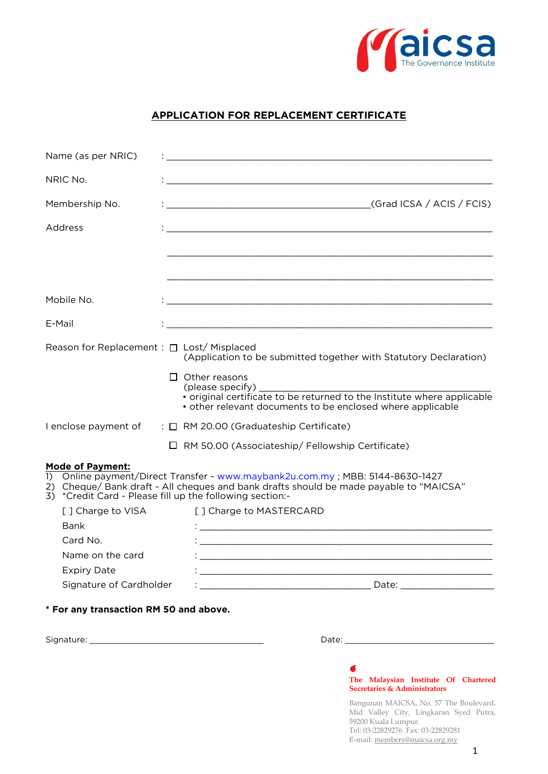

## **APPLICATION FOR REPLACEMENT CERTIFICATE**

| Name (as per NRIC)                                |                                                                                                                                                                                                                                                                                 |
|---------------------------------------------------|---------------------------------------------------------------------------------------------------------------------------------------------------------------------------------------------------------------------------------------------------------------------------------|
| NRIC No.                                          |                                                                                                                                                                                                                                                                                 |
| Membership No.                                    |                                                                                                                                                                                                                                                                                 |
| Address                                           |                                                                                                                                                                                                                                                                                 |
|                                                   |                                                                                                                                                                                                                                                                                 |
| Mobile No.                                        |                                                                                                                                                                                                                                                                                 |
| E-Mail                                            |                                                                                                                                                                                                                                                                                 |
| Reason for Replacement : □ Lost/ Misplaced        | (Application to be submitted together with Statutory Declaration)<br>$\Box$ Other reasons<br>(please specify) $\overline{\phantom{a}}$<br>· original certificate to be returned to the Institute where applicable<br>• other relevant documents to be enclosed where applicable |
|                                                   | I enclose payment of : □ RM 20.00 (Graduateship Certificate)<br>$\Box$ RM 50.00 (Associateship/ Fellowship Certificate)                                                                                                                                                         |
| <b>Mode of Payment:</b><br>$\left( \right)$<br>2) | Online payment/Direct Transfer - www.maybank2u.com.my; MBB: 5144-8630-1427<br>Cheque/ Bank draft - All cheques and bank drafts should be made payable to "MAICSA"<br>3) *Credit Card - Please fill up the following section:-                                                   |
| [ ] Charge to VISA                                | [ ] Charge to MASTERCARD                                                                                                                                                                                                                                                        |
| Bank                                              |                                                                                                                                                                                                                                                                                 |
| Card No.                                          |                                                                                                                                                                                                                                                                                 |
| Name on the card                                  |                                                                                                                                                                                                                                                                                 |
| <b>Expiry Date</b>                                | and the control of the control of the control of the control of the control of the control of the control of the                                                                                                                                                                |
| Signature of Cardholder                           |                                                                                                                                                                                                                                                                                 |
| * For any transaction RM 50 and above.            |                                                                                                                                                                                                                                                                                 |

 $S_{\rm S}$  and  $S_{\rm max}$  are  $\frac{1}{\sqrt{2}}$  and  $\frac{1}{\sqrt{2}}$  and  $\frac{1}{\sqrt{2}}$  and  $\frac{1}{\sqrt{2}}$  and  $\frac{1}{\sqrt{2}}$  and  $\frac{1}{\sqrt{2}}$  and  $\frac{1}{\sqrt{2}}$  and  $\frac{1}{\sqrt{2}}$  and  $\frac{1}{\sqrt{2}}$  and  $\frac{1}{\sqrt{2}}$  and  $\frac{1}{\sqrt{2}}$  and  $\frac{1}{\sqrt$ 



Bangunan MAICSA, No. 57 The Boulevard, Mid Valley City, Lingkaran Syed Putra, 59200 Kuala Lumpur. Tel: 03-22829276 Fax: 03-22829281 E-mail: members@maicsa.org.my